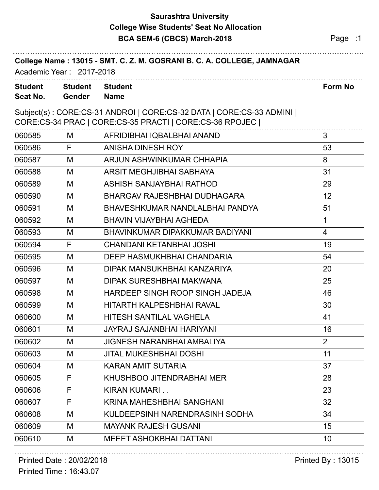## **Saurashtra University BCA SEM-6 (CBCS) March-2018 Page :1 College Wise Students' Seat No Allocation**

| College Name: 13015 - SMT. C. Z. M. GOSRANI B. C. A. COLLEGE, JAMNAGAR<br>Academic Year: 2017-2018 |                          |                                                                     |                |
|----------------------------------------------------------------------------------------------------|--------------------------|---------------------------------------------------------------------|----------------|
| <b>Student</b><br>Seat No.                                                                         | <b>Student</b><br>Gender | <b>Student</b><br><b>Name</b>                                       | <b>Form No</b> |
|                                                                                                    |                          | Subject(s): CORE:CS-31 ANDROI   CORE:CS-32 DATA   CORE:CS-33 ADMINI |                |
|                                                                                                    |                          | CORE:CS-34 PRAC   CORE:CS-35 PRACTI   CORE:CS-36 RPOJEC             |                |
| 060585                                                                                             | M                        | AFRIDIBHAI IQBALBHAI ANAND                                          | 3              |
| 060586                                                                                             | F                        | <b>ANISHA DINESH ROY</b>                                            | 53             |
| 060587                                                                                             | M                        | ARJUN ASHWINKUMAR CHHAPIA                                           | 8              |
| 060588                                                                                             | M                        | ARSIT MEGHJIBHAI SABHAYA                                            | 31             |
| 060589                                                                                             | M                        | ASHISH SANJAYBHAI RATHOD                                            | 29             |
| 060590                                                                                             | M                        | <b>BHARGAV RAJESHBHAI DUDHAGARA</b>                                 | 12             |
| 060591                                                                                             | M                        | BHAVESHKUMAR NANDLALBHAI PANDYA                                     | 51             |
| 060592                                                                                             | M                        | <b>BHAVIN VIJAYBHAI AGHEDA</b>                                      | $\mathbf{1}$   |
| 060593                                                                                             | M                        | BHAVINKUMAR DIPAKKUMAR BADIYANI                                     | 4              |
| 060594                                                                                             | F                        | CHANDANI KETANBHAI JOSHI                                            | 19             |
| 060595                                                                                             | M                        | DEEP HASMUKHBHAI CHANDARIA                                          | 54             |
| 060596                                                                                             | M                        | DIPAK MANSUKHBHAI KANZARIYA                                         | 20             |
| 060597                                                                                             | M                        | DIPAK SURESHBHAI MAKWANA                                            | 25             |
| 060598                                                                                             | M                        | HARDEEP SINGH ROOP SINGH JADEJA                                     | 46             |
| 060599                                                                                             | M                        | <b>HITARTH KALPESHBHAI RAVAL</b>                                    | 30             |
| 060600                                                                                             | М                        | HITESH SANTILAL VAGHELA                                             | 41             |
| 060601                                                                                             | M                        | <b>JAYRAJ SAJANBHAI HARIYANI</b>                                    | 16             |
| 060602                                                                                             | M                        | <b>JIGNESH NARANBHAI AMBALIYA</b>                                   | $\overline{2}$ |
| 060603                                                                                             | M                        | <b>JITAL MUKESHBHAI DOSHI</b>                                       | 11             |
| 060604                                                                                             | M                        | <b>KARAN AMIT SUTARIA</b>                                           | 37             |
| 060605                                                                                             | F                        | KHUSHBOO JITENDRABHAI MER                                           | 28             |
| 060606                                                                                             | F                        | KIRAN KUMARI                                                        | 23             |
| 060607                                                                                             | F                        | KRINA MAHESHBHAI SANGHANI                                           | 32             |
| 060608                                                                                             | M                        | KULDEEPSINH NARENDRASINH SODHA                                      | 34             |
| 060609                                                                                             | M                        | <b>MAYANK RAJESH GUSANI</b>                                         | 15             |
| 060610                                                                                             | M                        | <b>MEEET ASHOKBHAI DATTANI</b>                                      | 10             |

## Printed Date : 20/02/2018 Printed By : 13015

Printed Time : 16:43.07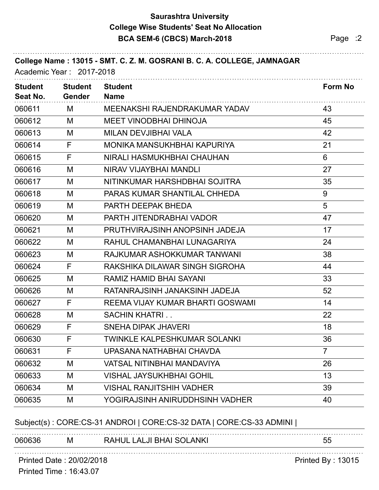## **Saurashtra University BCA SEM-6 (CBCS) March-2018 Page :2 College Wise Students' Seat No Allocation**

| <b>Student</b><br>Seat No. | <b>Student</b><br><b>Gender</b> | <b>Student</b><br><b>Name</b>       | <b>Form No</b>  |
|----------------------------|---------------------------------|-------------------------------------|-----------------|
| 060611                     | М                               | MEENAKSHI RAJENDRAKUMAR YADAV       | 43              |
| 060612                     | М                               | <b>MEET VINODBHAI DHINOJA</b>       | 45              |
| 060613                     | M                               | MILAN DEVJIBHAI VALA                | 42              |
| 060614                     | F                               | MONIKA MANSUKHBHAI KAPURIYA         | 21              |
| 060615                     | F                               | NIRALI HASMUKHBHAI CHAUHAN          | $6\phantom{1}6$ |
| 060616                     | M                               | NIRAV VIJAYBHAI MANDLI              | 27              |
| 060617                     | M                               | NITINKUMAR HARSHDBHAI SOJITRA       | 35              |
| 060618                     | М                               | PARAS KUMAR SHANTILAL CHHEDA        | 9               |
| 060619                     | М                               | PARTH DEEPAK BHEDA                  | 5               |
| 060620                     | M                               | PARTH JITENDRABHAI VADOR            | 47              |
| 060621                     | M                               | PRUTHVIRAJSINH ANOPSINH JADEJA      | 17              |
| 060622                     | M                               | RAHUL CHAMANBHAI LUNAGARIYA         | 24              |
| 060623                     | M                               | RAJKUMAR ASHOKKUMAR TANWANI         | 38              |
| 060624                     | F                               | RAKSHIKA DILAWAR SINGH SIGROHA      | 44              |
| 060625                     | M                               | RAMIZ HAMID BHAI SAYANI             | 33              |
| 060626                     | M                               | RATANRAJSINH JANAKSINH JADEJA       | 52              |
| 060627                     | F                               | REEMA VIJAY KUMAR BHARTI GOSWAMI    | 14              |
| 060628                     | M                               | <b>SACHIN KHATRI</b>                | 22              |
| 060629                     | F                               | <b>SNEHA DIPAK JHAVERI</b>          | 18              |
| 060630                     | F                               | <b>TWINKLE KALPESHKUMAR SOLANKI</b> | 36              |
| 060631                     | F                               | UPASANA NATHABHAI CHAVDA            | $\overline{7}$  |
| 060632                     | M                               | <b>VATSAL NITINBHAI MANDAVIYA</b>   | 26              |
| 060633                     | M                               | <b>VISHAL JAYSUKHBHAI GOHIL</b>     | 13              |
| 060634                     | M                               | <b>VISHAL RANJITSHIH VADHER</b>     | 39              |
| 060635                     | M                               | YOGIRAJSINH ANIRUDDHSINH VADHER     | 40              |

## Subject(s) : CORE:CS-31 ANDROI | CORE:CS-32 DATA | CORE:CS-33 ADMINI |

|           |     |                 | vu        |
|-----------|-----|-----------------|-----------|
| .<br>าคกค | ΙVΙ | Δ<br>INK.<br>יי | $ -$<br>~ |

Printed Date : 20/02/2018 Printed By : 13015

Printed Time : 16:43.07